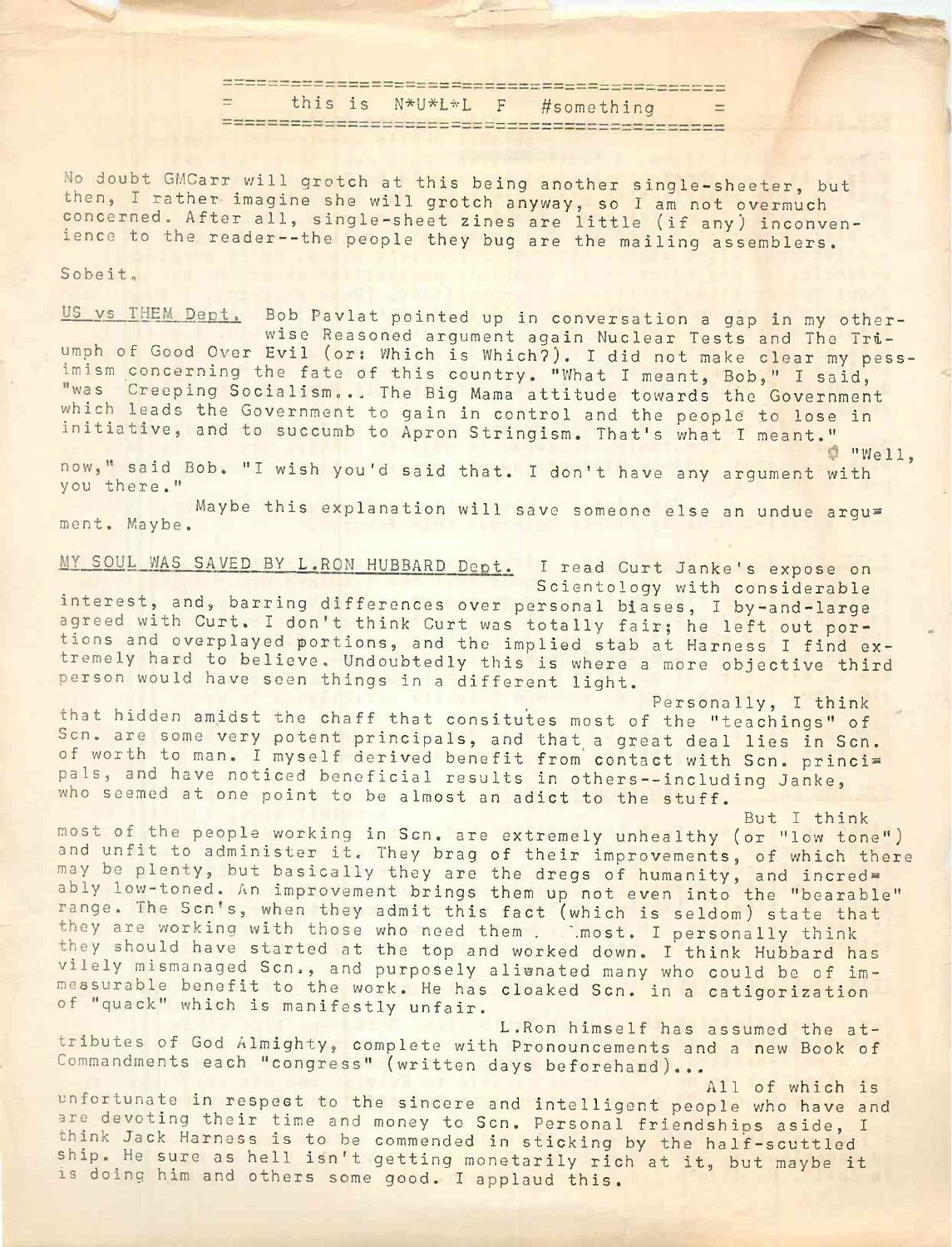this is N\*U\*L\*L <sup>F</sup> #something

No doubt GMCarr will grotch at this being another sing le-sheeter, but then, I rather imagine she will grotch anyway, so I am not overmuch concerned. After all, single-sheet zines are little (if any) inconvenience to the reader--the people they bug are the mailing assemblers.

## Sobeit,

US vs THEM Dept. Bob Pavlat pointed up in conversation a gap in my otherwise Reasoned argument again Nuclear Tests and The Triumph of Good Over Evil (or: Which is Which?). I did not make clear my pessimism concerning the fate of this country. "What I meant, Bob," I said, was Creeping Socialism... The Big Mama attitude towards the Government which leads the Government to gain in control and the people to lose in initiative, and to succumb to Apron Stringism. That's what I meant." wise Reasoned argument again Nuclear Tests and The Tri-<br>of Good Over Evil (or: Which is Which). I did not make clear my pess-<br>m concerning the fate of this country. "What I meant, Bob," I said,<br>Creeping Socialism... The Bi

now," said Bob. "I wish you'd said that. I don't have any argument with you there."

Maybe this explanation will save someone else an undue argu= ment. Maybe.

MY SOUL WAS SAVED BY L.RON HUBBARD Dept. I read Curt Janke's expose on Scientology with considerable interest, and, barring differences over personal biases, <sup>I</sup> by-and-large agreed with Curt. I don't think Curt was totally fair; he left out portions and overplayed portions, and the implied stab at Harness I find extremely hard to believe. Undoubtedly this is where <sup>a</sup> more objective third person would have seen things in <sup>a</sup> different light.

Personally, I think that hidden amidst the chaff that consitutes most of the "teachings" of Scn. are some very potent principals, and that a great deal lies in Scn. of worth to man. I myself derived benefit from contact with Scn. princi= pals, and have noticed beneficial results in others--including Janke, who seemed at one point to be almost an adict to the stuff.

But I think most of the people working in Sen. are extremely unhealthy (or "low tone") and unfit to administer it. They brag of their improvements, of which there may be plenty, but basically they are the dregs of humanity, and incred= ably low-toned. An improvement brings them up not even into the "bearable" range. The Scn's, when they admit this fact (which is seldom) state that they are working with those who need them . .. most. I personally think they should have started at the top and worked down. I think Hubbard has vilely mismanaged Sen., and purposely alienated many who could be of immeasurable benefit to the work. He has cloaked Sen. in <sup>a</sup> catigorization of "quack" which is manifestly unfair.

L.Ron himself has assumed the attributes of God Almighty, complete with Pronouncements and <sup>a</sup> new Book of Commandments each "congress" (written days beforehand)...

All of which is unfortunate in respect to the sincere and intelligent people who have and are devoting their time and money to Sen. Personal friendships aside, <sup>I</sup> think Jack Harness is to be commended in sticking by the half-scuttled ship. He sure as hell isn't getting monetarily rich at it, but maybe it is doing him and others some good. <sup>I</sup> applaud this.